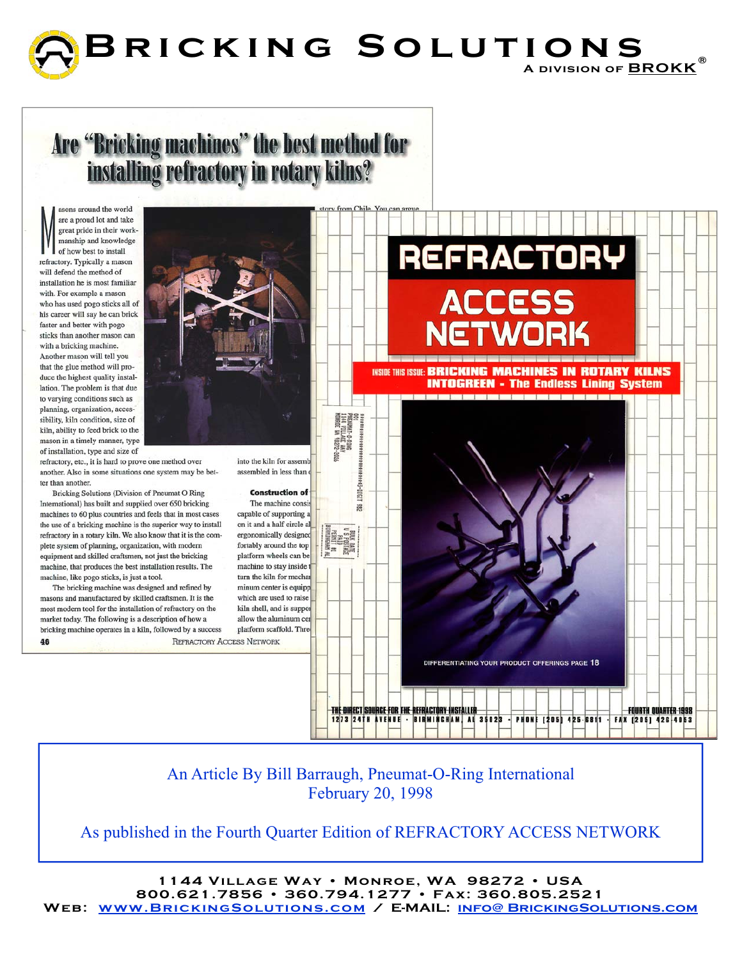

# Are "Bricking machines" the best method for<br>installing refractory in rotary kilns?

asons around the world are a proud lot and take great pride in their workmanship and knowledge of how best to install refractory. Typically a mason will defend the method of installation he is most familiar with. For example a mason who has used pogo sticks all of his career will say he can brick faster and better with pogo sticks than another mason can with a bricking machine. Another mason will tell you that the glue method will produce the highest quality installation. The problem is that due to varying conditions such as planning, organization, accessibility, kiln condition, size of kiln, ability to feed brick to the mason in a timely manner, type of installation, type and size of

refractory, etc., it is hard to prove one method over another. Also in some situations one system may be better than another.

Bricking Solutions (Division of Pneumat O Ring International) has built and supplied over 650 bricking machines to 60 plus countries and feels that in most cases the use of a bricking machine is the superior way to install refractory in a rotary kiln. We also know that it is the complete system of planning, organization, with modern equipment and skilled craftsmen, not just the bricking machine, that produces the best installation results. The machine, like pogo sticks, is just a tool.

The bricking machine was designed and refined by masons and manufactured by skilled craftsmen. It is the most modern tool for the installation of refractory on the market today. The following is a description of how a bricking machine operates in a kiln, followed by a success **REFRACTORY ACCESS NETWORK** 46



into the kiln for assemb assembled in less than

#### **Construction of**

The machine consis capable of supporting a on it and a half circle al ergonomically designed fortably around the top platform wheels can be machine to stay inside turn the kiln for mechan minum center is equipp which are used to raise kiln shell, and is suppor allow the aluminum cer platform scaffold. Three



An Article By Bill Barraugh, Pneumat-O-Ring International February 20, 1998

As published in the Fourth Quarter Edition of REFRACTORY ACCESS NETWORK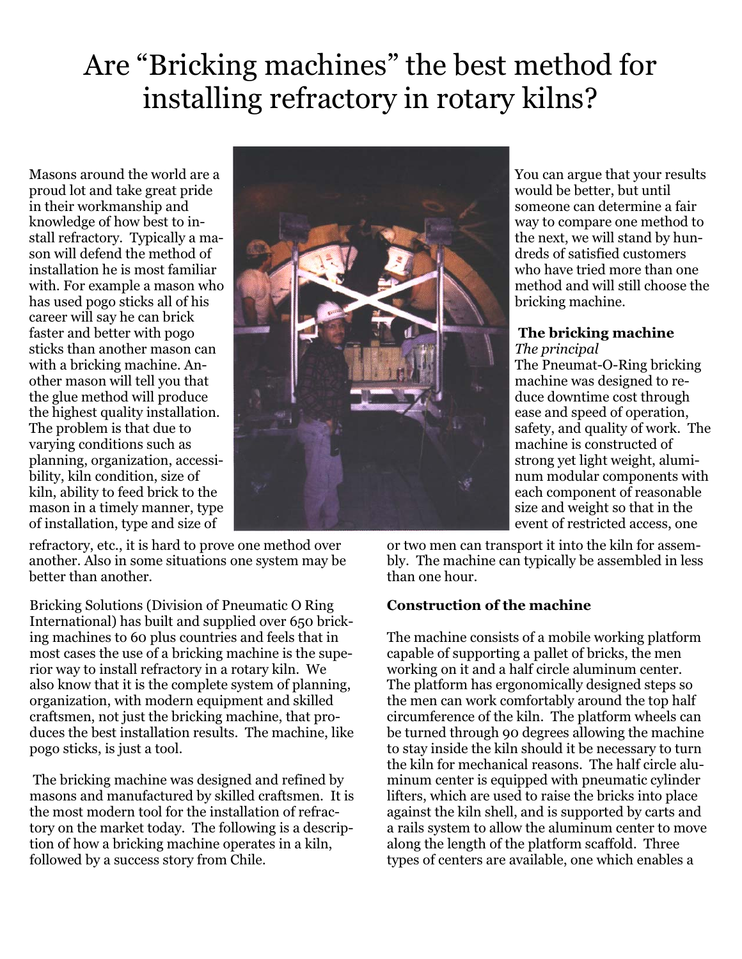## Are "Bricking machines" the best method for installing refractory in rotary kilns?

Masons around the world are a proud lot and take great pride in their workmanship and knowledge of how best to install refractory. Typically a mason will defend the method of installation he is most familiar with. For example a mason who has used pogo sticks all of his career will say he can brick faster and better with pogo sticks than another mason can with a bricking machine. Another mason will tell you that the glue method will produce the highest quality installation. The problem is that due to varying conditions such as planning, organization, accessibility, kiln condition, size of kiln, ability to feed brick to the mason in a timely manner, type of installation, type and size of



refractory, etc., it is hard to prove one method over another. Also in some situations one system may be better than another.

Bricking Solutions (Division of Pneumatic O Ring International) has built and supplied over 650 bricking machines to 60 plus countries and feels that in most cases the use of a bricking machine is the superior way to install refractory in a rotary kiln. We also know that it is the complete system of planning, organization, with modern equipment and skilled craftsmen, not just the bricking machine, that produces the best installation results. The machine, like pogo sticks, is just a tool.

 The bricking machine was designed and refined by masons and manufactured by skilled craftsmen. It is the most modern tool for the installation of refractory on the market today. The following is a description of how a bricking machine operates in a kiln, followed by a success story from Chile.

You can argue that your results would be better, but until someone can determine a fair way to compare one method to the next, we will stand by hundreds of satisfied customers who have tried more than one method and will still choose the bricking machine.

#### **The bricking machine**

*The principal*  The Pneumat-O-Ring bricking machine was designed to reduce downtime cost through ease and speed of operation, safety, and quality of work. The machine is constructed of strong yet light weight, aluminum modular components with each component of reasonable size and weight so that in the event of restricted access, one

or two men can transport it into the kiln for assembly. The machine can typically be assembled in less than one hour.

### **Construction of the machine**

The machine consists of a mobile working platform capable of supporting a pallet of bricks, the men working on it and a half circle aluminum center. The platform has ergonomically designed steps so the men can work comfortably around the top half circumference of the kiln. The platform wheels can be turned through 90 degrees allowing the machine to stay inside the kiln should it be necessary to turn the kiln for mechanical reasons. The half circle aluminum center is equipped with pneumatic cylinder lifters, which are used to raise the bricks into place against the kiln shell, and is supported by carts and a rails system to allow the aluminum center to move along the length of the platform scaffold. Three types of centers are available, one which enables a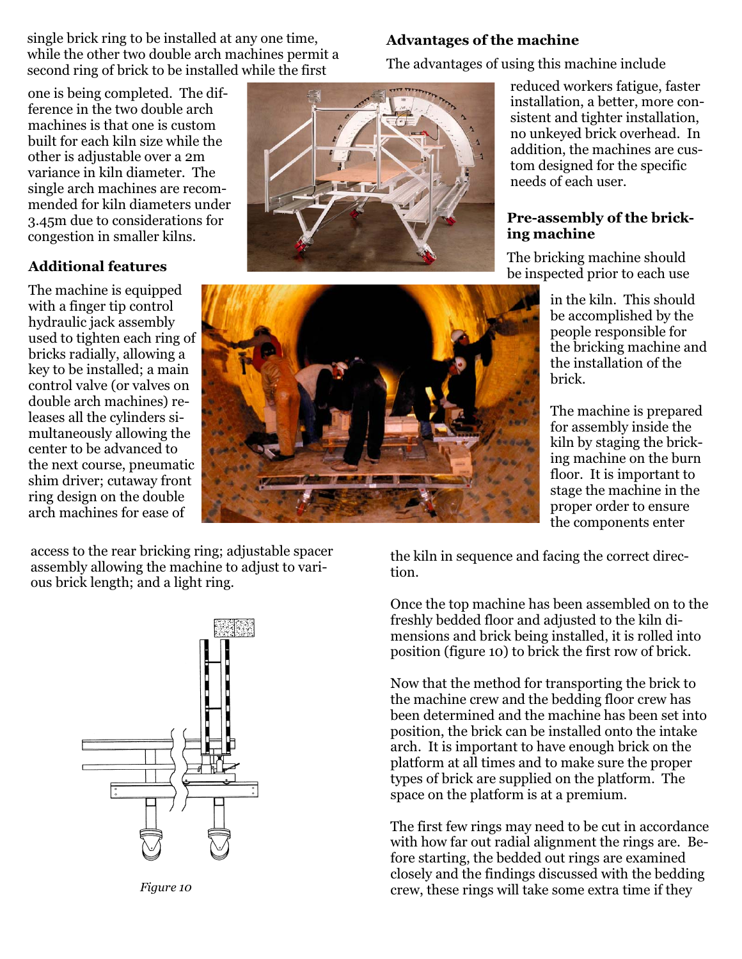single brick ring to be installed at any one time, while the other two double arch machines permit a second ring of brick to be installed while the first

one is being completed. The difference in the two double arch machines is that one is custom built for each kiln size while the other is adjustable over a 2m variance in kiln diameter. The single arch machines are recommended for kiln diameters under 3.45m due to considerations for congestion in smaller kilns.

#### **Additional features**

The machine is equipped with a finger tip control hydraulic jack assembly used to tighten each ring of bricks radially, allowing a key to be installed; a main control valve (or valves on double arch machines) releases all the cylinders simultaneously allowing the center to be advanced to the next course, pneumatic shim driver; cutaway front ring design on the double arch machines for ease of

#### **Advantages of the machine**

The advantages of using this machine include

reduced workers fatigue, faster installation, a better, more consistent and tighter installation, no unkeyed brick overhead. In addition, the machines are custom designed for the specific needs of each user.

#### **Pre-assembly of the bricking machine**

The bricking machine should be inspected prior to each use

> in the kiln. This should be accomplished by the people responsible for the bricking machine and the installation of the brick.

The machine is prepared for assembly inside the kiln by staging the bricking machine on the burn floor. It is important to stage the machine in the proper order to ensure the components enter

access to the rear bricking ring; adjustable spacer assembly allowing the machine to adjust to various brick length; and a light ring.

*Figure 10* 

the kiln in sequence and facing the correct direction.

Once the top machine has been assembled on to the freshly bedded floor and adjusted to the kiln dimensions and brick being installed, it is rolled into position (figure 10) to brick the first row of brick.

Now that the method for transporting the brick to the machine crew and the bedding floor crew has been determined and the machine has been set into position, the brick can be installed onto the intake arch. It is important to have enough brick on the platform at all times and to make sure the proper types of brick are supplied on the platform. The space on the platform is at a premium.

The first few rings may need to be cut in accordance with how far out radial alignment the rings are. Before starting, the bedded out rings are examined closely and the findings discussed with the bedding crew, these rings will take some extra time if they



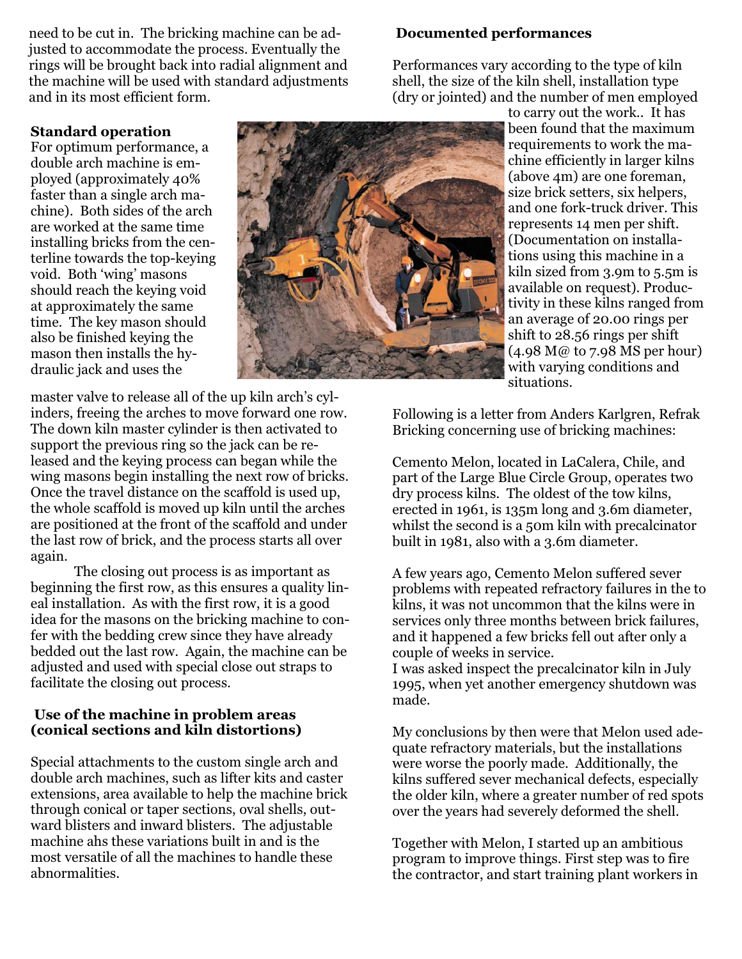need to be cut in. The bricking machine can be adjusted to accommodate the process. Eventually the rings will be brought back into radial alignment and the machine will be used with standard adjustments and in its most efficient form.

#### **Documented performances**

Performances vary according to the type of kiln shell, the size of the kiln shell, installation type (dry or jointed) and the number of men employed

#### **Standard operation**

For optimum performance, a double arch machine is employed (approximately 40% faster than a single arch machine). Both sides of the arch are worked at the same time installing bricks from the centerline towards the top-keying void. Both 'wing' masons should reach the keying void at approximately the same time. The key mason should also be finished keying the mason then installs the hydraulic jack and uses the



master valve to release all of the up kiln arch's cylinders, freeing the arches to move forward one row. The down kiln master cylinder is then activated to support the previous ring so the jack can be released and the keying process can began while the wing masons begin installing the next row of bricks. Once the travel distance on the scaffold is used up, the whole scaffold is moved up kiln until the arches are positioned at the front of the scaffold and under the last row of brick, and the process starts all over again.

 The closing out process is as important as beginning the first row, as this ensures a quality lineal installation. As with the first row, it is a good idea for the masons on the bricking machine to confer with the bedding crew since they have already bedded out the last row. Again, the machine can be adjusted and used with special close out straps to facilitate the closing out process.

#### **Use of the machine in problem areas (conical sections and kiln distortions)**

Special attachments to the custom single arch and double arch machines, such as lifter kits and caster extensions, area available to help the machine brick through conical or taper sections, oval shells, outward blisters and inward blisters. The adjustable machine ahs these variations built in and is the most versatile of all the machines to handle these abnormalities.

to carry out the work.. It has been found that the maximum requirements to work the machine efficiently in larger kilns (above 4m) are one foreman, size brick setters, six helpers, and one fork-truck driver. This represents 14 men per shift. (Documentation on installations using this machine in a kiln sized from 3.9m to 5.5m is available on request). Productivity in these kilns ranged from an average of 20.00 rings per shift to 28.56 rings per shift (4.98 M@ to 7.98 MS per hour) with varying conditions and situations.

Following is a letter from Anders Karlgren, Refrak Bricking concerning use of bricking machines:

Cemento Melon, located in LaCalera, Chile, and part of the Large Blue Circle Group, operates two dry process kilns. The oldest of the tow kilns, erected in 1961, is 135m long and 3.6m diameter, whilst the second is a 50m kiln with precalcinator built in 1981, also with a 3.6m diameter.

A few years ago, Cemento Melon suffered sever problems with repeated refractory failures in the to kilns, it was not uncommon that the kilns were in services only three months between brick failures, and it happened a few bricks fell out after only a couple of weeks in service.

I was asked inspect the precalcinator kiln in July 1995, when yet another emergency shutdown was made.

My conclusions by then were that Melon used adequate refractory materials, but the installations were worse the poorly made. Additionally, the kilns suffered sever mechanical defects, especially the older kiln, where a greater number of red spots over the years had severely deformed the shell.

Together with Melon, I started up an ambitious program to improve things. First step was to fire the contractor, and start training plant workers in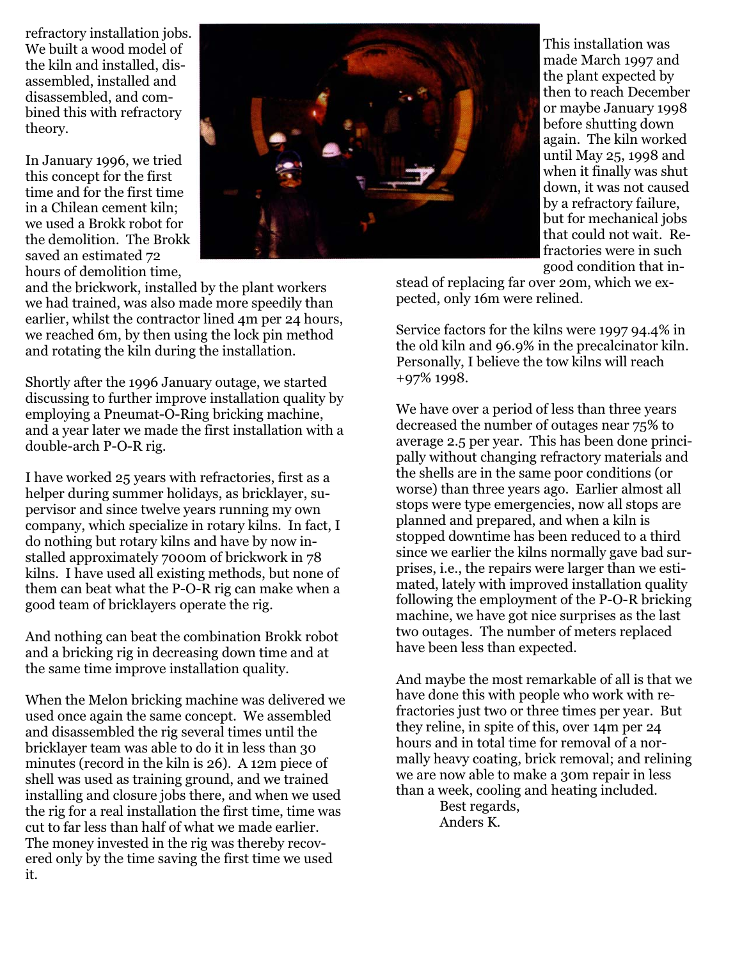refractory installation jobs. We built a wood model of the kiln and installed, disassembled, installed and disassembled, and combined this with refractory theory.

In January 1996, we tried this concept for the first time and for the first time in a Chilean cement kiln; we used a Brokk robot for the demolition. The Brokk saved an estimated 72 hours of demolition time,



and the brickwork, installed by the plant workers we had trained, was also made more speedily than earlier, whilst the contractor lined 4m per 24 hours, we reached 6m, by then using the lock pin method and rotating the kiln during the installation.

Shortly after the 1996 January outage, we started discussing to further improve installation quality by employing a Pneumat-O-Ring bricking machine, and a year later we made the first installation with a double-arch P-O-R rig.

I have worked 25 years with refractories, first as a helper during summer holidays, as bricklayer, supervisor and since twelve years running my own company, which specialize in rotary kilns. In fact, I do nothing but rotary kilns and have by now installed approximately 7000m of brickwork in 78 kilns. I have used all existing methods, but none of them can beat what the P-O-R rig can make when a good team of bricklayers operate the rig.

And nothing can beat the combination Brokk robot and a bricking rig in decreasing down time and at the same time improve installation quality.

When the Melon bricking machine was delivered we used once again the same concept. We assembled and disassembled the rig several times until the bricklayer team was able to do it in less than 30 minutes (record in the kiln is 26). A 12m piece of shell was used as training ground, and we trained installing and closure jobs there, and when we used the rig for a real installation the first time, time was cut to far less than half of what we made earlier. The money invested in the rig was thereby recovered only by the time saving the first time we used it.

This installation was made March 1997 and the plant expected by then to reach December or maybe January 1998 before shutting down again. The kiln worked until May 25, 1998 and when it finally was shut down, it was not caused by a refractory failure, but for mechanical jobs that could not wait. Refractories were in such good condition that in-

stead of replacing far over 20m, which we expected, only 16m were relined.

Service factors for the kilns were 1997 94.4% in the old kiln and 96.9% in the precalcinator kiln. Personally, I believe the tow kilns will reach +97% 1998.

We have over a period of less than three years decreased the number of outages near 75% to average 2.5 per year. This has been done principally without changing refractory materials and the shells are in the same poor conditions (or worse) than three years ago. Earlier almost all stops were type emergencies, now all stops are planned and prepared, and when a kiln is stopped downtime has been reduced to a third since we earlier the kilns normally gave bad surprises, i.e., the repairs were larger than we estimated, lately with improved installation quality following the employment of the P-O-R bricking machine, we have got nice surprises as the last two outages. The number of meters replaced have been less than expected.

And maybe the most remarkable of all is that we have done this with people who work with refractories just two or three times per year. But they reline, in spite of this, over 14m per 24 hours and in total time for removal of a normally heavy coating, brick removal; and relining we are now able to make a 30m repair in less than a week, cooling and heating included.

 Best regards, Anders K.